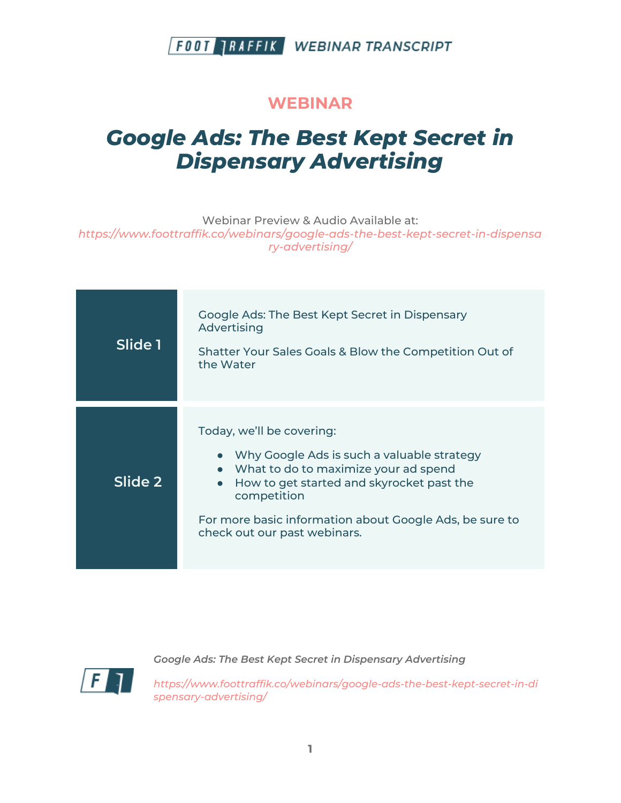#### **WEBINAR**

# *Google Ads: The Best Kept Secret in Dispensary Advertising*

Webinar Preview & Audio Available at:

*https://www.foottraffik.co/webinars/google-ads-the-best-kept-secret-in-dispensa ry-advertising/*

| Slide 1 | Google Ads: The Best Kept Secret in Dispensary<br>Advertising<br>Shatter Your Sales Goals & Blow the Competition Out of<br>the Water                                                                                                                                                  |
|---------|---------------------------------------------------------------------------------------------------------------------------------------------------------------------------------------------------------------------------------------------------------------------------------------|
| Slide 2 | Today, we'll be covering:<br>Why Google Ads is such a valuable strategy<br>• What to do to maximize your ad spend<br>How to get started and skyrocket past the<br>$\bullet$<br>competition<br>For more basic information about Google Ads, be sure to<br>check out our past webinars. |



*Google Ads: The Best Kept Secret in Dispensary Advertising*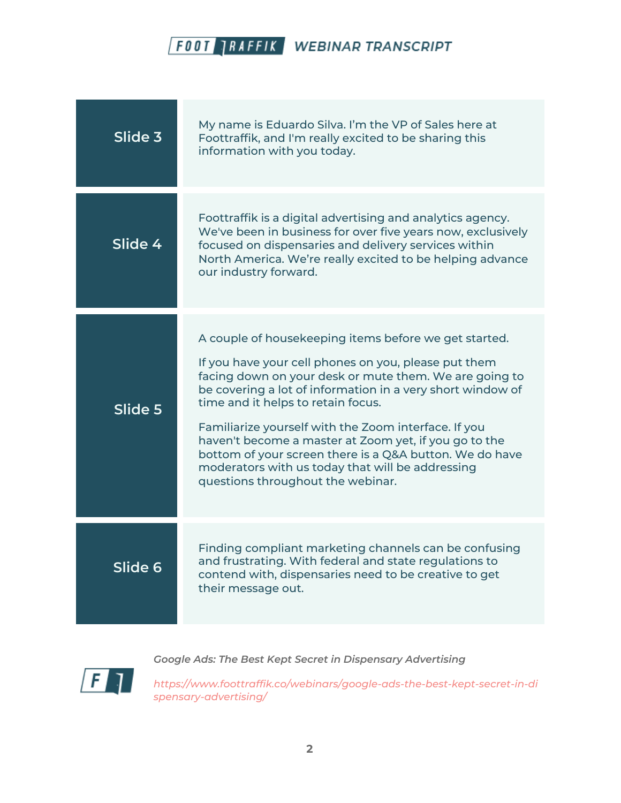| Slide 3 | My name is Eduardo Silva. I'm the VP of Sales here at<br>Foottraffik, and I'm really excited to be sharing this<br>information with you today.                                                                                                                                                                                                                                                                                                                                                                                                   |
|---------|--------------------------------------------------------------------------------------------------------------------------------------------------------------------------------------------------------------------------------------------------------------------------------------------------------------------------------------------------------------------------------------------------------------------------------------------------------------------------------------------------------------------------------------------------|
| Slide 4 | Foottraffik is a digital advertising and analytics agency.<br>We've been in business for over five years now, exclusively<br>focused on dispensaries and delivery services within<br>North America. We're really excited to be helping advance<br>our industry forward.                                                                                                                                                                                                                                                                          |
| Slide 5 | A couple of housekeeping items before we get started.<br>If you have your cell phones on you, please put them<br>facing down on your desk or mute them. We are going to<br>be covering a lot of information in a very short window of<br>time and it helps to retain focus.<br>Familiarize yourself with the Zoom interface. If you<br>haven't become a master at Zoom yet, if you go to the<br>bottom of your screen there is a Q&A button. We do have<br>moderators with us today that will be addressing<br>questions throughout the webinar. |
| Slide 6 | Finding compliant marketing channels can be confusing<br>and frustrating. With federal and state regulations to<br>contend with, dispensaries need to be creative to get<br>their message out.                                                                                                                                                                                                                                                                                                                                                   |



*Google Ads: The Best Kept Secret in Dispensary Advertising*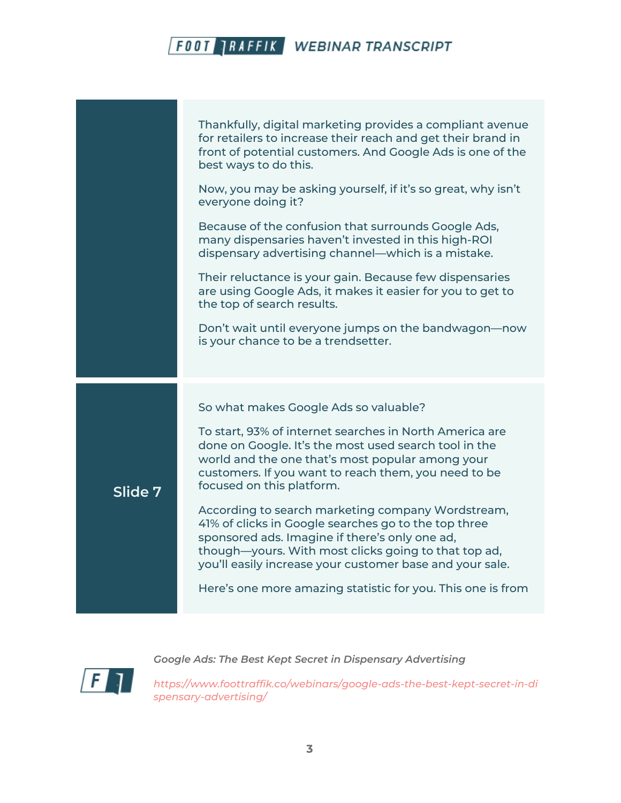|         | Thankfully, digital marketing provides a compliant avenue<br>for retailers to increase their reach and get their brand in<br>front of potential customers. And Google Ads is one of the<br>best ways to do this.<br>Now, you may be asking yourself, if it's so great, why isn't<br>everyone doing it?<br>Because of the confusion that surrounds Google Ads,<br>many dispensaries haven't invested in this high-ROI                                                                                                                                                                                                                                 |
|---------|------------------------------------------------------------------------------------------------------------------------------------------------------------------------------------------------------------------------------------------------------------------------------------------------------------------------------------------------------------------------------------------------------------------------------------------------------------------------------------------------------------------------------------------------------------------------------------------------------------------------------------------------------|
|         | dispensary advertising channel—which is a mistake.<br>Their reluctance is your gain. Because few dispensaries<br>are using Google Ads, it makes it easier for you to get to<br>the top of search results.<br>Don't wait until everyone jumps on the bandwagon-now<br>is your chance to be a trendsetter.                                                                                                                                                                                                                                                                                                                                             |
| Slide 7 | So what makes Google Ads so valuable?<br>To start, 93% of internet searches in North America are<br>done on Google. It's the most used search tool in the<br>world and the one that's most popular among your<br>customers. If you want to reach them, you need to be<br>focused on this platform.<br>According to search marketing company Wordstream,<br>41% of clicks in Google searches go to the top three<br>sponsored ads. Imagine if there's only one ad,<br>though-yours. With most clicks going to that top ad,<br>you'll easily increase your customer base and your sale.<br>Here's one more amazing statistic for you. This one is from |
|         |                                                                                                                                                                                                                                                                                                                                                                                                                                                                                                                                                                                                                                                      |

 $\sqrt{F}$ 

*Google Ads: The Best Kept Secret in Dispensary Advertising*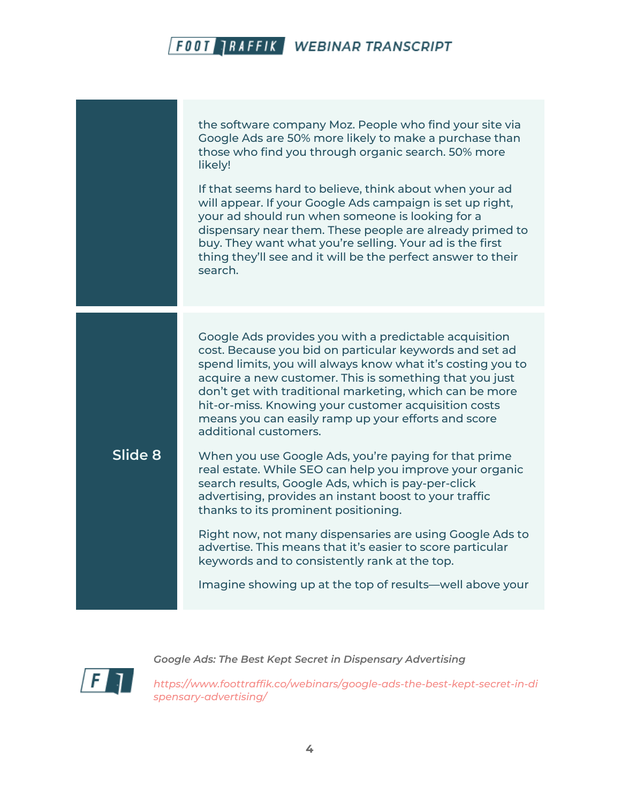the software company Moz. People who find your site via Google Ads are 50% more likely to make a purchase than those who find you through organic search. 50% more likely!

If that seems hard to believe, think about when your ad will appear. If your Google Ads campaign is set up right, your ad should run when someone is looking for a dispensary near them. These people are already primed to buy. They want what you're selling. Your ad is the first thing they'll see and it will be the perfect answer to their search.

Google Ads provides you with a predictable acquisition cost. Because you bid on particular keywords and set ad spend limits, you will always know what it's costing you to acquire a new customer. This is something that you just don't get with traditional marketing, which can be more hit-or-miss. Knowing your customer acquisition costs means you can easily ramp up your efforts and score additional customers.

#### **Slide 8**

When you use Google Ads, you're paying for that prime real estate. While SEO can help you improve your organic search results, Google Ads, which is pay-per-click advertising, provides an instant boost to your traffic thanks to its prominent positioning.

Right now, not many dispensaries are using Google Ads to advertise. This means that it's easier to score particular keywords and to consistently rank at the top.

Imagine showing up at the top of results—well above your



*Google Ads: The Best Kept Secret in Dispensary Advertising*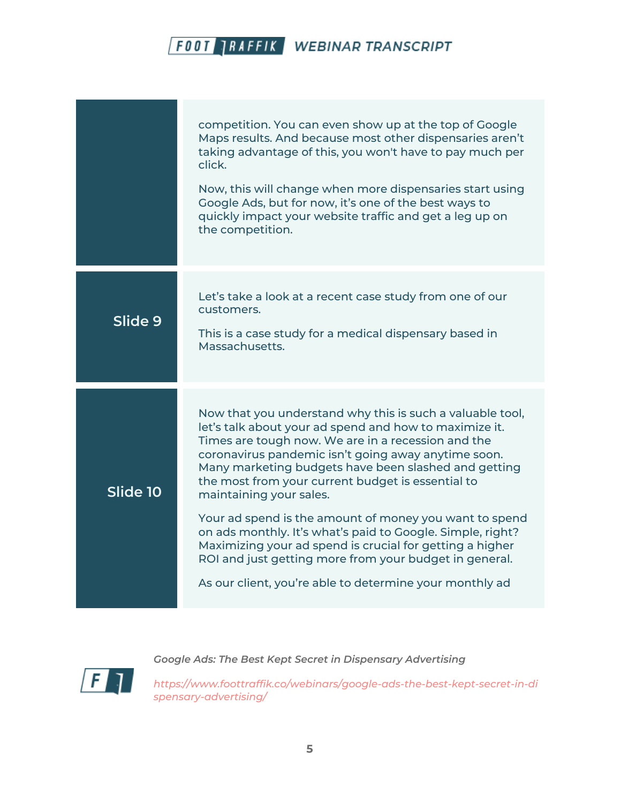|          | competition. You can even show up at the top of Google<br>Maps results. And because most other dispensaries aren't<br>taking advantage of this, you won't have to pay much per<br>click.<br>Now, this will change when more dispensaries start using<br>Google Ads, but for now, it's one of the best ways to<br>quickly impact your website traffic and get a leg up on<br>the competition.                                                                                                                                                                                                                                                                                      |
|----------|-----------------------------------------------------------------------------------------------------------------------------------------------------------------------------------------------------------------------------------------------------------------------------------------------------------------------------------------------------------------------------------------------------------------------------------------------------------------------------------------------------------------------------------------------------------------------------------------------------------------------------------------------------------------------------------|
| Slide 9  | Let's take a look at a recent case study from one of our<br>customers.<br>This is a case study for a medical dispensary based in<br>Massachusetts.                                                                                                                                                                                                                                                                                                                                                                                                                                                                                                                                |
| Slide 10 | Now that you understand why this is such a valuable tool,<br>let's talk about your ad spend and how to maximize it.<br>Times are tough now. We are in a recession and the<br>coronavirus pandemic isn't going away anytime soon.<br>Many marketing budgets have been slashed and getting<br>the most from your current budget is essential to<br>maintaining your sales.<br>Your ad spend is the amount of money you want to spend<br>on ads monthly. It's what's paid to Google. Simple, right?<br>Maximizing your ad spend is crucial for getting a higher<br>ROI and just getting more from your budget in general.<br>As our client, you're able to determine your monthly ad |

 $\sqrt{F}$ 

*Google Ads: The Best Kept Secret in Dispensary Advertising*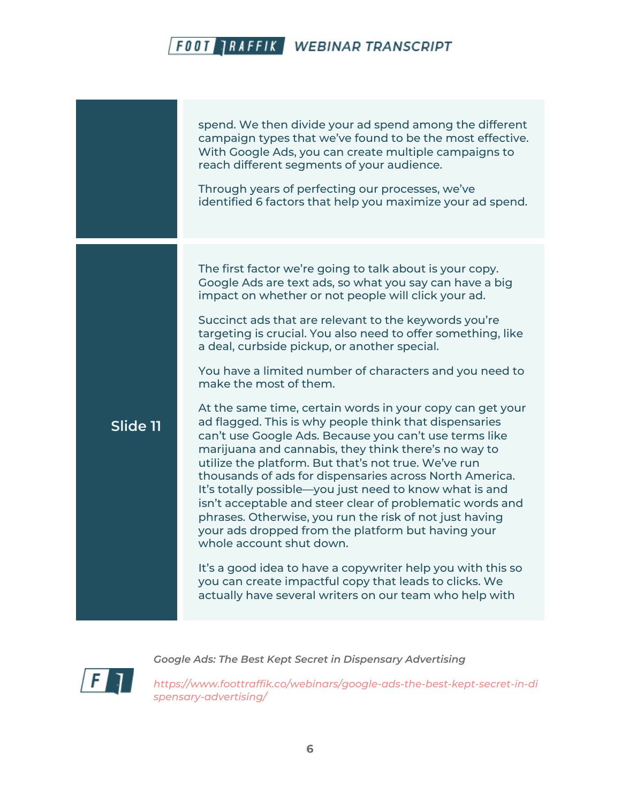spend. We then divide your ad spend among the different campaign types that we've found to be the most effective. With Google Ads, you can create multiple campaigns to reach different segments of your audience. Through years of perfecting our processes, we've identified 6 factors that help you maximize your ad spend. **Slide 11** The first factor we're going to talk about is your copy. Google Ads are text ads, so what you say can have a big impact on whether or not people will click your ad. Succinct ads that are relevant to the keywords you're targeting is crucial. You also need to offer something, like a deal, curbside pickup, or another special. You have a limited number of characters and you need to make the most of them. At the same time, certain words in your copy can get your ad flagged. This is why people think that dispensaries can't use Google Ads. Because you can't use terms like marijuana and cannabis, they think there's no way to utilize the platform. But that's not true. We've run thousands of ads for dispensaries across North America. It's totally possible—you just need to know what is and isn't acceptable and steer clear of problematic words and phrases. Otherwise, you run the risk of not just having your ads dropped from the platform but having your whole account shut down. It's a good idea to have a copywriter help you with this so you can create impactful copy that leads to clicks. We actually have several writers on our team who help with

*Google Ads: The Best Kept Secret in Dispensary Advertising*

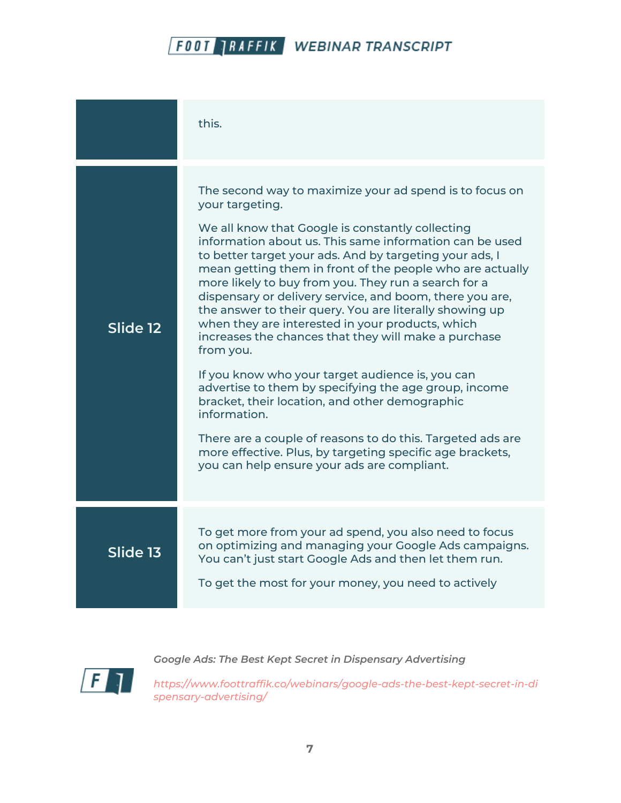|          | this.                                                                                                                                                                                                                                                                                                                                                                                                                                                                                                                                                                                                                                                                                                                                                                                                                                                                                                                                                                              |
|----------|------------------------------------------------------------------------------------------------------------------------------------------------------------------------------------------------------------------------------------------------------------------------------------------------------------------------------------------------------------------------------------------------------------------------------------------------------------------------------------------------------------------------------------------------------------------------------------------------------------------------------------------------------------------------------------------------------------------------------------------------------------------------------------------------------------------------------------------------------------------------------------------------------------------------------------------------------------------------------------|
| Slide 12 | The second way to maximize your ad spend is to focus on<br>your targeting.<br>We all know that Google is constantly collecting<br>information about us. This same information can be used<br>to better target your ads. And by targeting your ads, I<br>mean getting them in front of the people who are actually<br>more likely to buy from you. They run a search for a<br>dispensary or delivery service, and boom, there you are,<br>the answer to their query. You are literally showing up<br>when they are interested in your products, which<br>increases the chances that they will make a purchase<br>from you.<br>If you know who your target audience is, you can<br>advertise to them by specifying the age group, income<br>bracket, their location, and other demographic<br>information.<br>There are a couple of reasons to do this. Targeted ads are<br>more effective. Plus, by targeting specific age brackets,<br>you can help ensure your ads are compliant. |
| Slide 13 | To get more from your ad spend, you also need to focus<br>on optimizing and managing your Google Ads campaigns.<br>You can't just start Google Ads and then let them run.<br>To get the most for your money, you need to actively                                                                                                                                                                                                                                                                                                                                                                                                                                                                                                                                                                                                                                                                                                                                                  |



*Google Ads: The Best Kept Secret in Dispensary Advertising*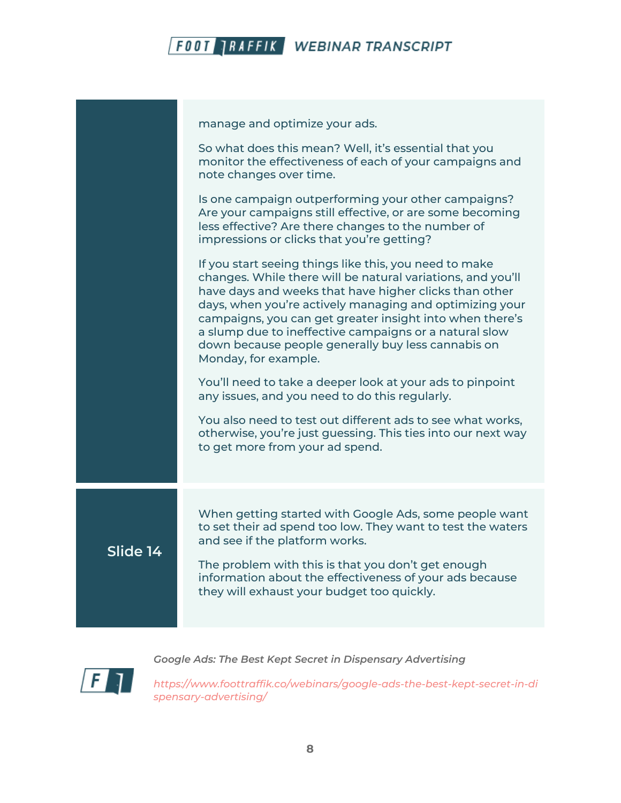

manage and optimize your ads.

So what does this mean? Well, it's essential that you monitor the effectiveness of each of your campaigns and note changes over time. Is one campaign outperforming your other campaigns? Are your campaigns still effective, or are some becoming less effective? Are there changes to the number of impressions or clicks that you're getting? If you start seeing things like this, you need to make changes. While there will be natural variations, and you'll have days and weeks that have higher clicks than other days, when you're actively managing and optimizing your campaigns, you can get greater insight into when there's a slump due to ineffective campaigns or a natural slow down because people generally buy less cannabis on Monday, for example. You'll need to take a deeper look at your ads to pinpoint any issues, and you need to do this regularly. You also need to test out different ads to see what works, otherwise, you're just guessing. This ties into our next way to get more from your ad spend. **Slide 14** When getting started with Google Ads, some people want to set their ad spend too low. They want to test the waters and see if the platform works. The problem with this is that you don't get enough information about the effectiveness of your ads because they will exhaust your budget too quickly.

*Google Ads: The Best Kept Secret in Dispensary Advertising*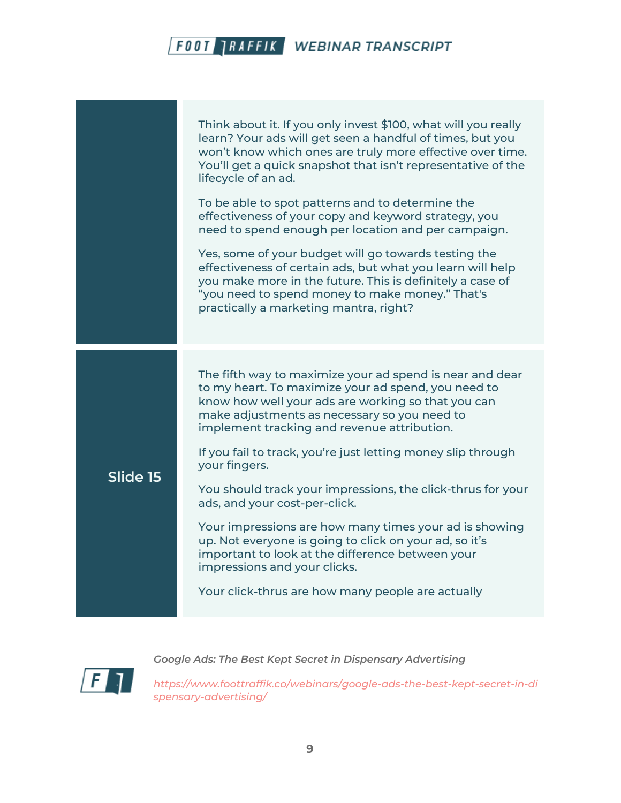|          | Think about it. If you only invest \$100, what will you really<br>learn? Your ads will get seen a handful of times, but you<br>won't know which ones are truly more effective over time.<br>You'll get a quick snapshot that isn't representative of the<br>lifecycle of an ad. |
|----------|---------------------------------------------------------------------------------------------------------------------------------------------------------------------------------------------------------------------------------------------------------------------------------|
|          | To be able to spot patterns and to determine the<br>effectiveness of your copy and keyword strategy, you<br>need to spend enough per location and per campaign.                                                                                                                 |
|          | Yes, some of your budget will go towards testing the<br>effectiveness of certain ads, but what you learn will help<br>you make more in the future. This is definitely a case of<br>"you need to spend money to make money." That's<br>practically a marketing mantra, right?    |
|          |                                                                                                                                                                                                                                                                                 |
|          | The fifth way to maximize your ad spend is near and dear<br>to my heart. To maximize your ad spend, you need to<br>know how well your ads are working so that you can<br>make adjustments as necessary so you need to<br>implement tracking and revenue attribution.            |
| Slide 15 | If you fail to track, you're just letting money slip through<br>your fingers.                                                                                                                                                                                                   |
|          | You should track your impressions, the click-thrus for your<br>ads, and your cost-per-click.                                                                                                                                                                                    |
|          | Your impressions are how many times your ad is showing<br>up. Not everyone is going to click on your ad, so it's<br>important to look at the difference between your<br>impressions and your clicks.                                                                            |
|          | Your click-thrus are how many people are actually                                                                                                                                                                                                                               |

 $\sqrt{F}$ 

*Google Ads: The Best Kept Secret in Dispensary Advertising*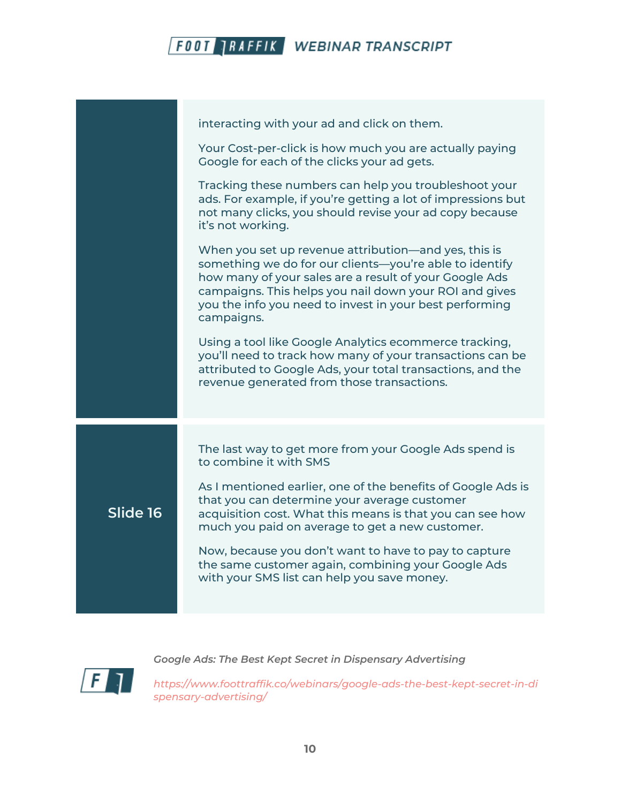

|          | interacting with your ad and click on them.<br>Your Cost-per-click is how much you are actually paying<br>Google for each of the clicks your ad gets.                                                                                                                                                        |
|----------|--------------------------------------------------------------------------------------------------------------------------------------------------------------------------------------------------------------------------------------------------------------------------------------------------------------|
|          | Tracking these numbers can help you troubleshoot your<br>ads. For example, if you're getting a lot of impressions but<br>not many clicks, you should revise your ad copy because<br>it's not working.                                                                                                        |
|          | When you set up revenue attribution—and yes, this is<br>something we do for our clients-you're able to identify<br>how many of your sales are a result of your Google Ads<br>campaigns. This helps you nail down your ROI and gives<br>you the info you need to invest in your best performing<br>campaigns. |
|          | Using a tool like Google Analytics ecommerce tracking,<br>you'll need to track how many of your transactions can be<br>attributed to Google Ads, your total transactions, and the<br>revenue generated from those transactions.                                                                              |
|          | The last way to get more from your Google Ads spend is<br>to combine it with SMS                                                                                                                                                                                                                             |
| Slide 16 | As I mentioned earlier, one of the benefits of Google Ads is<br>that you can determine your average customer<br>acquisition cost. What this means is that you can see how<br>much you paid on average to get a new customer.                                                                                 |
|          | Now, because you don't want to have to pay to capture<br>the same customer again, combining your Google Ads<br>with your SMS list can help you save money.                                                                                                                                                   |

 $\sqrt{F}$ 

*Google Ads: The Best Kept Secret in Dispensary Advertising*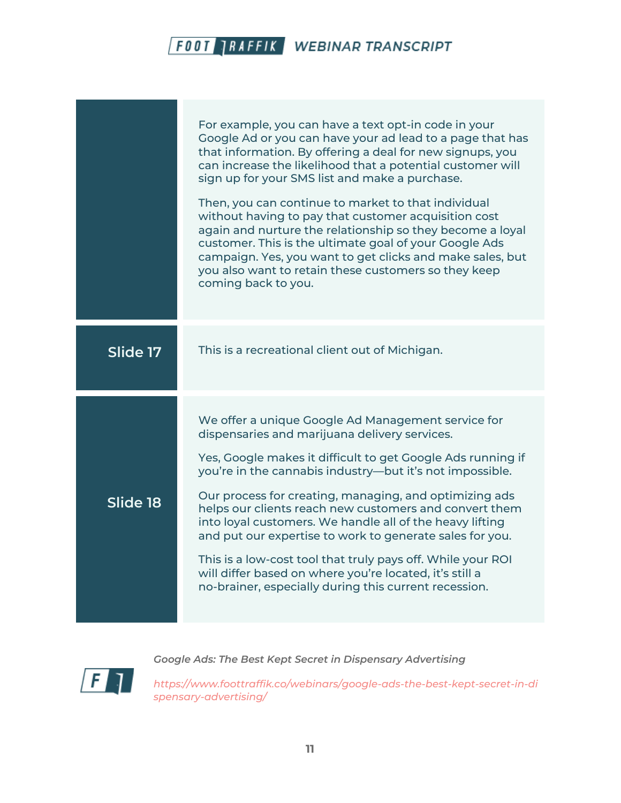|          | For example, you can have a text opt-in code in your<br>Google Ad or you can have your ad lead to a page that has<br>that information. By offering a deal for new signups, you<br>can increase the likelihood that a potential customer will<br>sign up for your SMS list and make a purchase.<br>Then, you can continue to market to that individual<br>without having to pay that customer acquisition cost<br>again and nurture the relationship so they become a loyal<br>customer. This is the ultimate goal of your Google Ads<br>campaign. Yes, you want to get clicks and make sales, but<br>you also want to retain these customers so they keep<br>coming back to you. |
|----------|----------------------------------------------------------------------------------------------------------------------------------------------------------------------------------------------------------------------------------------------------------------------------------------------------------------------------------------------------------------------------------------------------------------------------------------------------------------------------------------------------------------------------------------------------------------------------------------------------------------------------------------------------------------------------------|
| Slide 17 | This is a recreational client out of Michigan.                                                                                                                                                                                                                                                                                                                                                                                                                                                                                                                                                                                                                                   |
| Slide 18 | We offer a unique Google Ad Management service for<br>dispensaries and marijuana delivery services.<br>Yes, Google makes it difficult to get Google Ads running if<br>you're in the cannabis industry-but it's not impossible.<br>Our process for creating, managing, and optimizing ads<br>helps our clients reach new customers and convert them<br>into loyal customers. We handle all of the heavy lifting<br>and put our expertise to work to generate sales for you.<br>This is a low-cost tool that truly pays off. While your ROI<br>will differ based on where you're located, it's still a<br>no-brainer, especially during this current recession.                    |

 $\sqrt{F}$ 

*Google Ads: The Best Kept Secret in Dispensary Advertising*